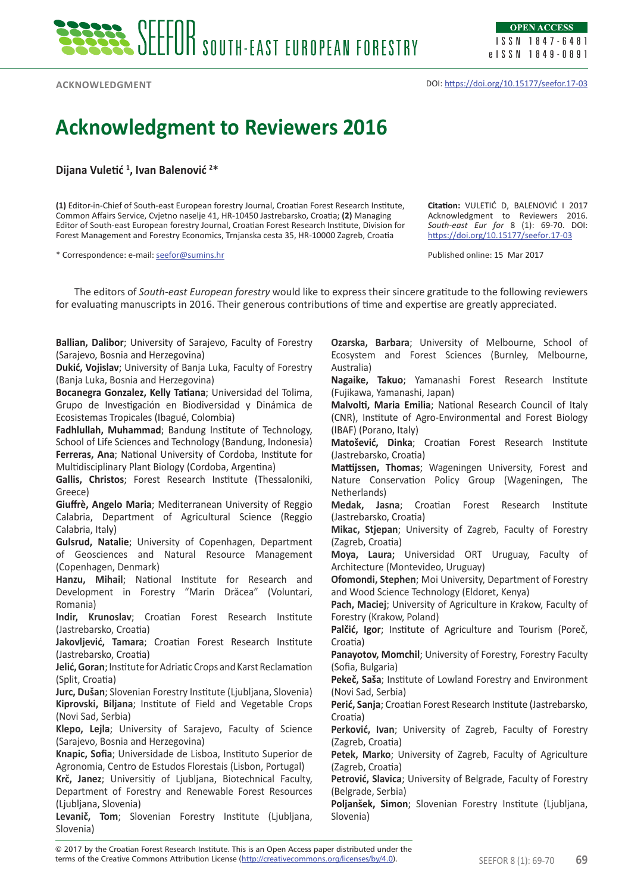**Acknowledgment**

## **Acknowledgment to Reviewers 2016**

**Dijana Vuletić <sup>1</sup> , Ivan Balenović <sup>2</sup> \***

**(1)** Editor-in-Chief of South-east European forestry Journal, Croatian Forest Research Institute, Common Affairs Service, Cvjetno naselje 41, HR-10450 Jastrebarsko, Croatia; **(2)** Managing Editor of South-east European forestry Journal, Croatian Forest Research Institute, Division for Forest Management and Forestry Economics, Trnjanska cesta 35, HR-10000 Zagreb, Croatia

\* Correspondence: e-mail: [seefor@sumins.hr](mailto:seefor@sumins.hr)

**Citation:** VULETIĆ D, BALENOVIĆ I 2017 Acknowledgment to Reviewers 2016. *South-east Eur for* 8 (1): 69-70. DOI: <https://doi.org/10.15177/seefor.17-03>

Published online: 15 Mar 2017

The editors of *South-east European forestry* would like to express their sincere gratitude to the following reviewers for evaluating manuscripts in 2016. Their generous contributions of time and expertise are greatly appreciated.

**Ballian, Dalibor**; University of Sarajevo, Faculty of Forestry (Sarajevo, Bosnia and Herzegovina)

**Dukić, Vojislav**; University of Banja Luka, Faculty of Forestry (Banja Luka, Bosnia and Herzegovina)

**Bocanegra Gonzalez, Kelly Tatiana**; Universidad del Tolima, Grupo de Investigación en Biodiversidad y Dinámica de Ecosistemas Tropicales (Ibagué, Colombia)

**Fadhlullah, Muhammad**; Bandung Institute of Technology, School of Life Sciences and Technology (Bandung, Indonesia) **Ferreras, Ana**; National University of Cordoba, Institute for Multidisciplinary Plant Biology (Cordoba, Argentina)

**Gallis, Christos**; Forest Research Institute (Thessaloniki, Greece)

**Giuffrè, Angelo Maria**; Mediterranean University of Reggio Calabria, Department of Agricultural Science (Reggio Calabria, Italy)

**Gulsrud, Natalie**; University of Copenhagen, Department of Geosciences and Natural Resource Management (Copenhagen, Denmark)

**Hanzu, Mihail**; National Institute for Research and Development in Forestry "Marin Drăcea" (Voluntari, Romania)

**Indir, Krunoslav**; Croatian Forest Research Institute (Jastrebarsko, Croatia)

**Jakovljević, Tamara**; Croatian Forest Research Institute (Jastrebarsko, Croatia)

**Jelić, Goran**; Institute for Adriatic Crops and Karst Reclamation (Split, Croatia)

**Jurc, Dušan**; Slovenian Forestry Institute (Ljubljana, Slovenia) **Kiprovski, Biljana**; Institute of Field and Vegetable Crops (Novi Sad, Serbia)

**Klepo, Lejla**; University of Sarajevo, Faculty of Science (Sarajevo, Bosnia and Herzegovina)

**Knapic, Sofia**; Universidade de Lisboa, Instituto Superior de Agronomia, Centro de Estudos Florestais (Lisbon, Portugal)

**Krč, Janez**; Universitiy of Ljubljana, Biotechnical Faculty, Department of Forestry and Renewable Forest Resources (Ljubljana, Slovenia)

**Levanič, Tom**; Slovenian Forestry Institute (Ljubljana, Slovenia)

**Ozarska, Barbara**; University of Melbourne, School of Ecosystem and Forest Sciences (Burnley, Melbourne, Australia)

**Nagaike, Takuo**; Yamanashi Forest Research Institute (Fujikawa, Yamanashi, Japan)

**Malvolti, Maria Emilia**; National Research Council of Italy (CNR), Institute of Agro-Environmental and Forest Biology (IBAF) (Porano, Italy)

**Matošević, Dinka**; Croatian Forest Research Institute (Jastrebarsko, Croatia)

**Mattijssen, Thomas**; Wageningen University, Forest and Nature Conservation Policy Group (Wageningen, The Netherlands)

**Medak, Jasna**; Croatian Forest Research Institute (Jastrebarsko, Croatia)

**Mikac, Stjepan**; University of Zagreb, Faculty of Forestry (Zagreb, Croatia)

**Moya, Laura;** Universidad ORT Uruguay, Faculty of Architecture (Montevideo, Uruguay)

**Ofomondi, Stephen**; Moi University, Department of Forestry and Wood Science Technology (Eldoret, Kenya)

**Pach, Maciej**; University of Agriculture in Krakow, Faculty of Forestry (Krakow, Poland)

**Palčić, Igor**; Institute of Agriculture and Tourism (Poreč, Croatia)

**Panayotov, Momchil**; University of Forestry, Forestry Faculty (Sofia, Bulgaria)

**Pekeč, Saša**; Institute of Lowland Forestry and Environment (Novi Sad, Serbia)

**Perić, Sanja**; Croatian Forest Research Institute (Jastrebarsko, Croatia)

**Perković, Ivan**; University of Zagreb, Faculty of Forestry (Zagreb, Croatia)

**Petek, Marko**; University of Zagreb, Faculty of Agriculture (Zagreb, Croatia)

**Petrović, Slavica**; University of Belgrade, Faculty of Forestry (Belgrade, Serbia)

**Poljanšek, Simon**; Slovenian Forestry Institute (Ljubljana, Slovenia)

terms of the Creative Commons Attribution License (<u>http://creativecommons.org/licenses/by/4.0</u>). SEEFOR 8 (1): 69-70 **69** © 2017 by the Croatian Forest Research Institute. This is an Open Access paper distributed under the